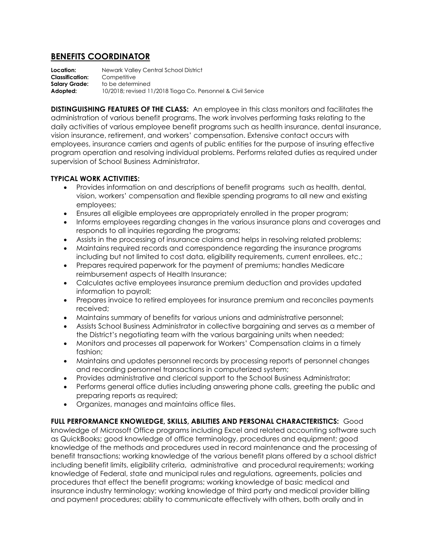## **BENEFITS COORDINATOR**

**Location:** Newark Valley Central School District<br>**Classification:** Competitive **Classification: Salary Grade:** to be determined **Adopted:** 10/2018; revised 11/2018 Tioga Co. Personnel & Civil Service

**DISTINGUISHING FEATURES OF THE CLASS:** An employee in this class monitors and facilitates the administration of various benefit programs. The work involves performing tasks relating to the daily activities of various employee benefit programs such as health insurance, dental insurance, vision insurance, retirement, and workers' compensation. Extensive contact occurs with employees, insurance carriers and agents of public entities for the purpose of insuring effective program operation and resolving individual problems. Performs related duties as required under supervision of School Business Administrator.

## **TYPICAL WORK ACTIVITIES:**

- Provides information on and descriptions of benefit programs such as health, dental, vision, workers' compensation and flexible spending programs to all new and existing employees;
- Ensures all eligible employees are appropriately enrolled in the proper program;
- Informs employees regarding changes in the various insurance plans and coverages and responds to all inquiries regarding the programs;
- Assists in the processing of insurance claims and helps in resolving related problems;
- Maintains required records and correspondence regarding the insurance programs including but not limited to cost data, eligibility requirements, current enrollees, etc.;
- Prepares required paperwork for the payment of premiums; handles Medicare reimbursement aspects of Health Insurance;
- Calculates active employees insurance premium deduction and provides updated information to payroll;
- Prepares invoice to retired employees for insurance premium and reconciles payments received;
- Maintains summary of benefits for various unions and administrative personnel;
- Assists School Business Administrator in collective bargaining and serves as a member of the District's negotiating team with the various bargaining units when needed;
- Monitors and processes all paperwork for Workers' Compensation claims in a timely fashion;
- Maintains and updates personnel records by processing reports of personnel changes and recording personnel transactions in computerized system;
- Provides administrative and clerical support to the School Business Administrator;
- Performs general office duties including answering phone calls, greeting the public and preparing reports as required;
- Organizes, manages and maintains office files.

**FULL PERFORMANCE KNOWLEDGE, SKILLS, ABILITIES AND PERSONAL CHARACTERISTICS:** Good knowledge of Microsoft Office programs including Excel and related accounting software such as QuickBooks; good knowledge of office terminology, procedures and equipment; good knowledge of the methods and procedures used in record maintenance and the processing of benefit transactions; working knowledge of the various benefit plans offered by a school district including benefit limits, eligibility criteria, administrative and procedural requirements; working knowledge of Federal, state and municipal rules and regulations, agreements, policies and procedures that effect the benefit programs; working knowledge of basic medical and insurance industry terminology; working knowledge of third party and medical provider billing and payment procedures; ability to communicate effectively with others, both orally and in